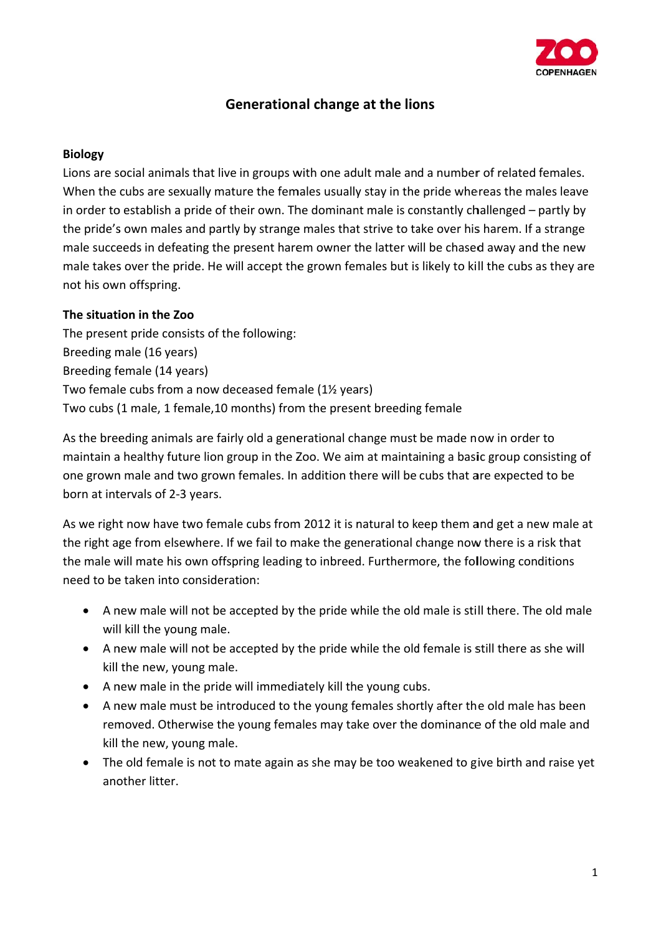

# **Generational change at the lions**

#### **Biology**

Lions are social animals that live in groups with one adult male and a number of related females. When the cubs are sexually mature the females usually stay in the pride whereas the males leave in order to establish a pride of their own. The dominant male is constantly challenged – partly by the pride's own males and partly by strange males that strive to take over his harem. If a strange male succeeds in defeating the present harem owner the latter will be chased away and the new male takes over the pride. He will accept the grown females but is likely to kill the cubs as they are not his ow n offspring. .

## **The situati ion in the Z Zoo**

The present pride consists of the following: Breeding male (16 years) Breeding female (14 years) Two female cubs from a now deceased female (1½ years) Two cubs (1 male, 1 female,10 months) from the present breeding female

As the breeding animals are fairly old a generational change must be made now in order to maintain a healthy future lion group in the Zoo. We aim at maintaining a basic group consisting of one grown male and two grown females. In addition there will be cubs that are expected to be born at intervals of 2-3 years.

As we right now have two female cubs from 2012 it is natural to keep them and get a new male at the right age from elsewhere. If we fail to make the generational change now there is a risk that the male will mate his own offspring leading to inbreed. Furthermore, the following conditions need to be taken into consideration:

- A new male will not be accepted by the pride while the old male is still there. The old male will kill the young male.
- A new male will not be accepted by the pride while the old female is still there as she will kill the new, young male.
- A new male in the pride will immediately kill the young cubs.
- A new male must be introduced to the young females shortly after the old male has been removed. Otherwise the young females may take over the dominance of the old male and kill the new, young male.
- The old female is not to mate again as she may be too weakened to give birth and raise yet another litter.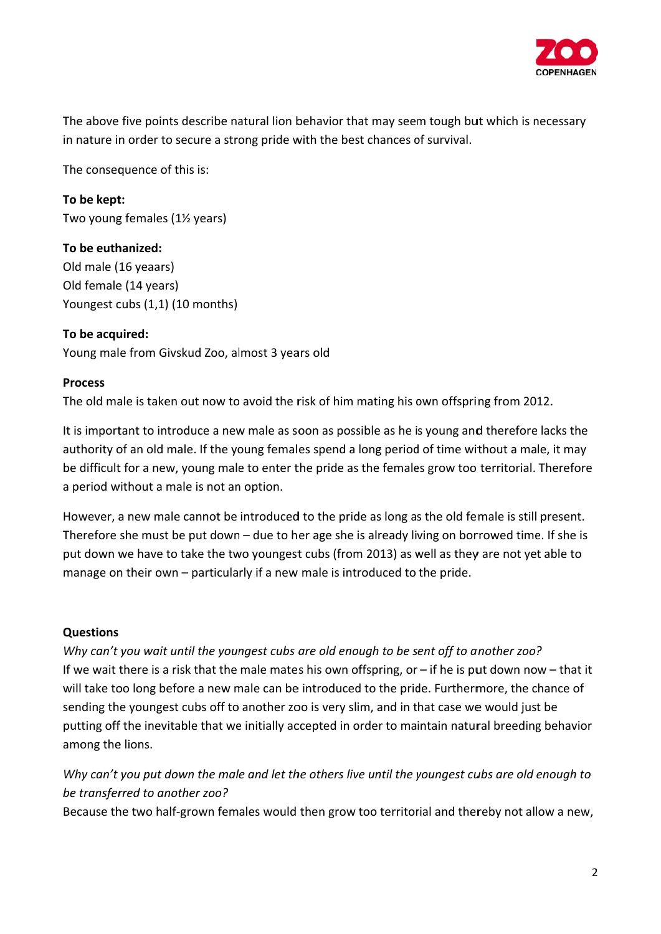

The above five points describe natural lion behavior that may seem tough but which is necessary in nature in order to secure a strong pride with the best chances of survival.

The consequence of this is:

**To be kept t:** Two young females (1½ years)

**To be euth hanized:** Old male ( 16 yeaars) Old female (14 years) Youngest cubs (1,1) (10 months)

**To be acqu uired:** Young male from Givskud Zoo, almost 3 years old

## **Process**

The old male is taken out now to avoid the risk of him mating his own offspring from 2012.

It is important to introduce a new male as soon as possible as he is young and therefore lacks the authority of an old male. If the young females spend a long period of time without a male, it may be difficult for a new, young male to enter the pride as the females grow too territorial. Therefore a period without a male is not an option.

However, a new male cannot be introduced to the pride as long as the old female is still present. Therefore she must be put down - due to her age she is already living on borrowed time. If she is put down we have to take the two youngest cubs (from 2013) as well as they are not yet able to manage on their own - particularly if a new male is introduced to the pride.

#### **Questions**

Why can't you wait until the youngest cubs are old enough to be sent off to another zoo? If we wait there is a risk that the male mates his own offspring, or - if he is put down now - that it will take too long before a new male can be introduced to the pride. Furthermore, the chance of sending the youngest cubs off to another zoo is very slim, and in that case we would just be putting off the inevitable that we initially accepted in order to maintain natural breeding behavior among the lions.

Why can't you put down the male and let the others live until the youngest cubs are old enough to *be transfer rred to anot ther zoo?*

Because the two half-grown females would then grow too territorial and thereby not allow a new,